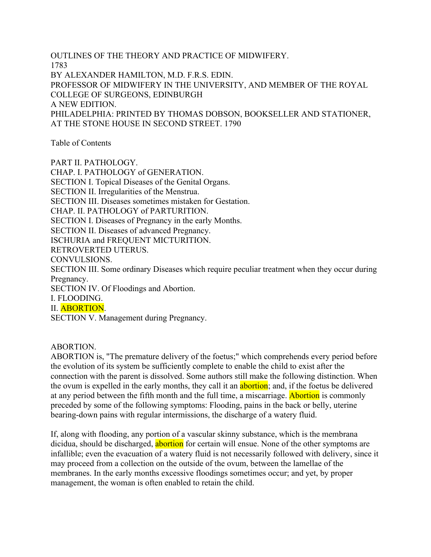OUTLINES OF THE THEORY AND PRACTICE OF MIDWIFERY. 1783 BY ALEXANDER HAMILTON, M.D. F.R.S. EDIN. PROFESSOR OF MIDWIFERY IN THE UNIVERSITY, AND MEMBER OF THE ROYAL COLLEGE OF SURGEONS, EDINBURGH A NEW EDITION. PHILADELPHIA: PRINTED BY THOMAS DOBSON, BOOKSELLER AND STATIONER, AT THE STONE HOUSE IN SECOND STREET. 1790

Table of Contents

PART II. PATHOLOGY. CHAP. I. PATHOLOGY of GENERATION. SECTION I. Topical Diseases of the Genital Organs. SECTION II. Irregularities of the Menstrua. SECTION III. Diseases sometimes mistaken for Gestation. CHAP. II. PATHOLOGY of PARTURITION. SECTION I. Diseases of Pregnancy in the early Months. SECTION II. Diseases of advanced Pregnancy. ISCHURIA and FREQUENT MICTURITION. RETROVERTED UTERUS. CONVULSIONS. SECTION III. Some ordinary Diseases which require peculiar treatment when they occur during Pregnancy. SECTION IV. Of Floodings and Abortion. I. FLOODING. II. ABORTION. SECTION V. Management during Pregnancy.

## ABORTION.

ABORTION is, "The premature delivery of the foetus;" which comprehends every period before the evolution of its system be sufficiently complete to enable the child to exist after the connection with the parent is dissolved. Some authors still make the following distinction. When the ovum is expelled in the early months, they call it an abortion; and, if the foetus be delivered at any period between the fifth month and the full time, a miscarriage. Abortion is commonly preceded by some of the following symptoms: Flooding, pains in the back or belly, uterine bearing-down pains with regular intermissions, the discharge of a watery fluid.

If, along with flooding, any portion of a vascular skinny substance, which is the membrana dicidua, should be discharged, abortion for certain will ensue. None of the other symptoms are infallible; even the evacuation of a watery fluid is not necessarily followed with delivery, since it may proceed from a collection on the outside of the ovum, between the lamellae of the membranes. In the early months excessive floodings sometimes occur; and yet, by proper management, the woman is often enabled to retain the child.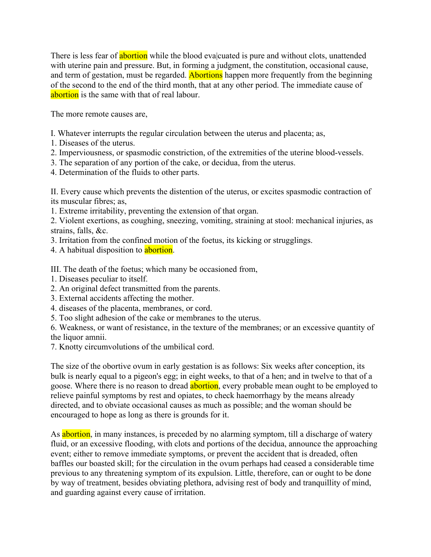There is less fear of **abortion** while the blood evalcuated is pure and without clots, unattended with uterine pain and pressure. But, in forming a judgment, the constitution, occasional cause, and term of gestation, must be regarded. Abortions happen more frequently from the beginning of the second to the end of the third month, that at any other period. The immediate cause of abortion is the same with that of real labour.

The more remote causes are,

- I. Whatever interrupts the regular circulation between the uterus and placenta; as,
- 1. Diseases of the uterus.
- 2. Imperviousness, or spasmodic constriction, of the extremities of the uterine blood-vessels.
- 3. The separation of any portion of the cake, or decidua, from the uterus.
- 4. Determination of the fluids to other parts.

II. Every cause which prevents the distention of the uterus, or excites spasmodic contraction of its muscular fibres; as,

1. Extreme irritability, preventing the extension of that organ.

2. Violent exertions, as coughing, sneezing, vomiting, straining at stool: mechanical injuries, as strains, falls, &c.

3. Irritation from the confined motion of the foetus, its kicking or strugglings.

4. A habitual disposition to **abortion**.

III. The death of the foetus; which many be occasioned from,

- 1. Diseases peculiar to itself.
- 2. An original defect transmitted from the parents.
- 3. External accidents affecting the mother.
- 4. diseases of the placenta, membranes, or cord.
- 5. Too slight adhesion of the cake or membranes to the uterus.

6. Weakness, or want of resistance, in the texture of the membranes; or an excessive quantity of the liquor amnii.

7. Knotty circumvolutions of the umbilical cord.

The size of the obortive ovum in early gestation is as follows: Six weeks after conception, its bulk is nearly equal to a pigeon's egg; in eight weeks, to that of a hen; and in twelve to that of a goose. Where there is no reason to dread **abortion**, every probable mean ought to be employed to relieve painful symptoms by rest and opiates, to check haemorrhagy by the means already directed, and to obviate occasional causes as much as possible; and the woman should be encouraged to hope as long as there is grounds for it.

As abortion, in many instances, is preceded by no alarming symptom, till a discharge of watery fluid, or an excessive flooding, with clots and portions of the decidua, announce the approaching event; either to remove immediate symptoms, or prevent the accident that is dreaded, often baffles our boasted skill; for the circulation in the ovum perhaps had ceased a considerable time previous to any threatening symptom of its expulsion. Little, therefore, can or ought to be done by way of treatment, besides obviating plethora, advising rest of body and tranquillity of mind, and guarding against every cause of irritation.